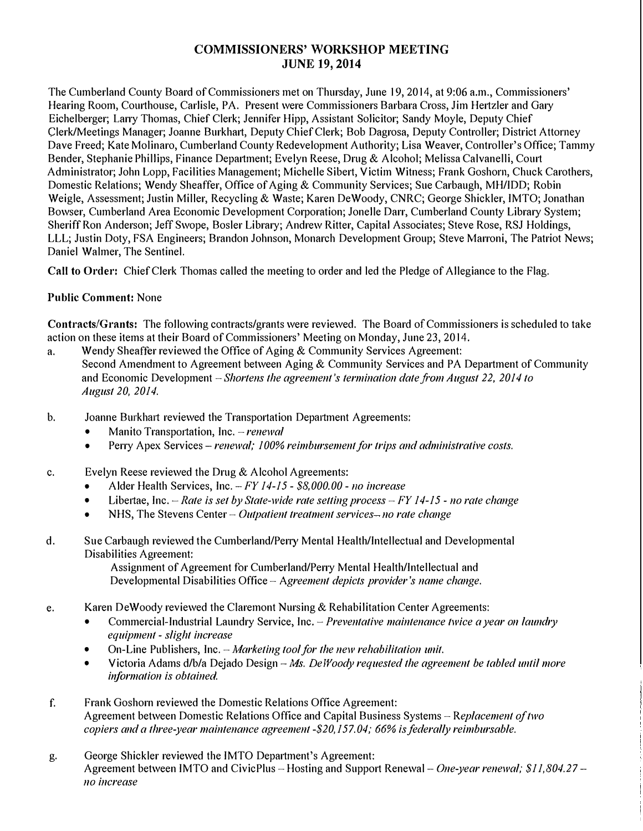# **COMMISSIONERS' WORKSHOP MEETING JUNE 19, 2014**

The Cumberland County Board of Commissioners met on Thursday, June 19, 2014, at 9:06 a.m., Commissioners' Hearing Room, Courthouse, Carlisle, PA. Present were Commissioners Barbara Cross, Jim Hertzler and Gary Eichelberger; Larry Thomas, Chief Clerk; Jennifer Hipp, Assistant Solicitor; Sandy Moyle, Deputy Chief Clerk/Meetings Manager; Joanne Burkhart, Deputy Chief Clerk; Bob Dagrosa, Deputy Controller; District Attorney Dave Freed; Kate Molinaro, Cumberland County Redevelopment Authority; Lisa Weaver, Controller's Office; Tammy Bender, Stephanie Phillips, Finance Department; Evelyn Reese, Drug & Alcohol; Melissa Calvanelli, Court Administrator; John Lopp, Facilities Management; Michelle Sibert, Victim Witness; Frank Goshorn, Chuck Carothers, Domestic Relations; Wendy Sheaffer, Office of Aging & Community Services; Sue Carbaugh, MH/IDD; Robin Weigle, Assessment; Justin Miller, Recycling & Waste; Karen De Woody, CNRC; George Shickler, IMTO; Jonathan Bowser, Cumberland Area Economic Development Corporation; Jonelle Darr, Cumberland County Library System; Sheriff Ron Anderson; Jeff Swope, Bosler Library; Andrew Ritter, Capital Associates; Steve Rose, RSJ Holdings, LLL; Justin Doty, FSA Engineers; Brandon Johnson, Monarch Development Group; Steve Marroni, The Patriot News; Daniel Walmer, The Sentinel.

**Call to Order:** Chief Clerk Thomas called the meeting to order and led the Pledge of Allegiance to the Flag.

#### **Public Comment:** None

**Contracts/Grants:** The following contracts/grants were reviewed. The Board of Commissioners is scheduled to take action on these items at their Board of Commissioners' Meeting on Monday, June 23, 2014.

- a. Wendy Sheaffer reviewed the Office of Aging & Community Services Agreement: Second Amendment to Agreement between Aging & Community Services and PA Department of Community and Economic Development -*Shortens the agreement's termination date ji'Oln August 22, 2014 to August 20, 2014.*
- b. Joanne Burkhart reviewed the Transportation Department Agreements:
	- Manito Transportation, Inc. *renewal*
	- Perry Apex Services *renewal; 100% reimbursement for trips and administrative costs.*
- c. Evelyn Reese reviewed the Drug & Alcohol Agreements:
	- Alder Health Services, Inc. *-FY 14-15- \$8,000.00- <sup>110</sup>increase*
	- Libertae, Inc. *Rate is set by State-wide rate setting process FY 14-15 no rate change*
	- NHS, The Stevens Center *Outpatient treatment services– no rate change*
- d. Sue Carbaugh reviewed the Cumberland/Perry Mental Health/Intellectual and Developmental Disabilities Agreement:

Assignment of Agreement for Cumberland/Perry Mental Health/Intellectual and Developmental Disabilities Office - *Agreement depicts provider's name change.* 

- e. Karen De Woody reviewed the Claremont Nursing & Rehabilitation Center Agreements:
	- Commercial-Industrial Laundry Service, Inc. *Preventative maintenance twice a year on laundry equipment* - *slight increase*
	- On-Line Publishers, Inc. *Marketing tool for the new rehabilitation unit.*
	- Victoria Adams d/b/a Dejado Design -*Ms. De Woody requested the agreement be tabled until more information is obtained.*
- f. Frank Goshorn reviewed the Domestic Relations Office Agreement: Agreement between Domestic Relations Office and Capital Business Systems - *Replacement of two copiers and a three-year maintenance agreement -\$20,157.04; 66% is federally reimbursable.*
- g. George Shickler reviewed the IMTO Department's Agreement: Agreement between IMTO and CivicPlus - Hosting and Support Renewal - One-year renewal; \$11,804.27 *no increase*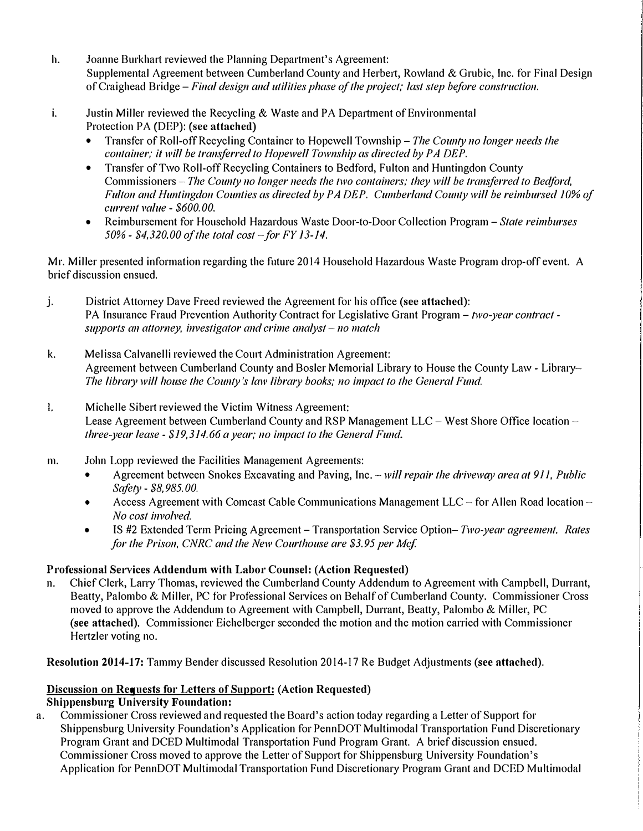- h. Joanne Burkhart reviewed the Planning Department's Agreement: Supplemental Agreement between Cumberland County and Herbert, Rowland & Grubic, Inc. for Final Design of Craighead *Bridge-Final design and utilities phase of the project; last step before const<sup>r</sup> uction.*
- i. Justin Miller reviewed the Recycling & Waste and PA Department of Environmental Protection PA (DEP): (see attached)
	- Transfer of Roll-off Recycling Container to Hopewell Township- *The County no longer needs the container; it will be transferred to Hopewell Township as directed by PA DEP.*
	- Transfer of Two Roll-off Recycling Containers to Bedford, Fulton and Huntingdon County Commissioners - *The County no longer needs the 111'0 containers; they will be transferred to Bedford, Fulton and Huntingdon Counties as directed by PA DEP. Cumberland County will be reimbursed 10% of current value* - *\$600. 00.*
	- Reimbursement for Household Hazardous Waste Door-to-Door Collection Program *State reimburses 50%* - *\$4,320.00 of the total cost - for FY 13-14.*

Mr. Miller presented information regarding the future 2014 Household Hazardous Waste Program drop-off event. A brief discussion ensued.

- j. District Attorney Dave Freed reviewed the Agreement for his office **(sec attached):**  PA Insurance Fraud Prevention Authority Contract for Legislative Grant Program - *two-year contract supports an attorney, investigator and crime analyst – no match*
- k. Melissa Calvanelli reviewed the Court Administration Agreement: Agreement between Cumberland County and Bosler Memorial Library to House the County Law - Library-*The library will house the County's law library books; no impact to the General Fund.*
- I. Michelle Sibert reviewed the Victim Witness Agreement: Lease Agreement between Cumberland County and RSP Management LLC – West Shore Office location – *three-year lease* - *\$19,314.66 a year; no impact to the General Fund.*
- m. John Lopp reviewed the Facilities Management Agreements:
	- Agreement between Snakes Excavating and Paving, Inc. *will repair the driveway area al 9 I I, Public Safety* - *\$8,985.00.*
	- Access Agreement with Comcast Cable Communications Management  $LLC$  for Allen Road location *No cost involved.*
	- IS #2 Extended Term Pricing Agreement Transportation Service Option– *Two-year agreement. Rates for the Prison, CNRC and the New Courthouse are \$3.95 per Mcf*

## **Professional Services Addendum with Labor Counsel: (Action Requested)**

11. Chief Clerk, Larry Thomas, reviewed the Cumberland County Addendum to Agreement with Campbell, Durrant, Beatty, Palombo & Miller, PC for Professional Services on Behalf of Cumberland County. Commissioner Cross moved to approve the Addendum to Agreement with Campbell, Durrant, Beatty, Palombo & Miller, PC **(see attached).** Commissioner Eichelberger seconded the motion and the motion carried with Commissioner Hertzler voting no.

**Resolution 2014-17:** Tammy Bender discussed Resolution 2014-17 Re Budget Adjustments **(see attached).** 

# **Discussion on Requests for Letters of Support: (Action Requested)**

**Shippensburg University Foundation:** 

a. Commissioner Cross reviewed and requested the Board's action today regarding a Letter of Support for Shippensburg University Foundation's Application for PennDOT Multimodal Transportation Fund Discretionary Program Grant and DCED Multimodal Transportation Fund Program Grant. A brief discussion ensued. Commissioner Cross moved to approve the Letter of Support for Shippensburg University Foundation's Application for PennDOT Multimodal Transportation Fund Discretionary Program Grant and DCED Multimodal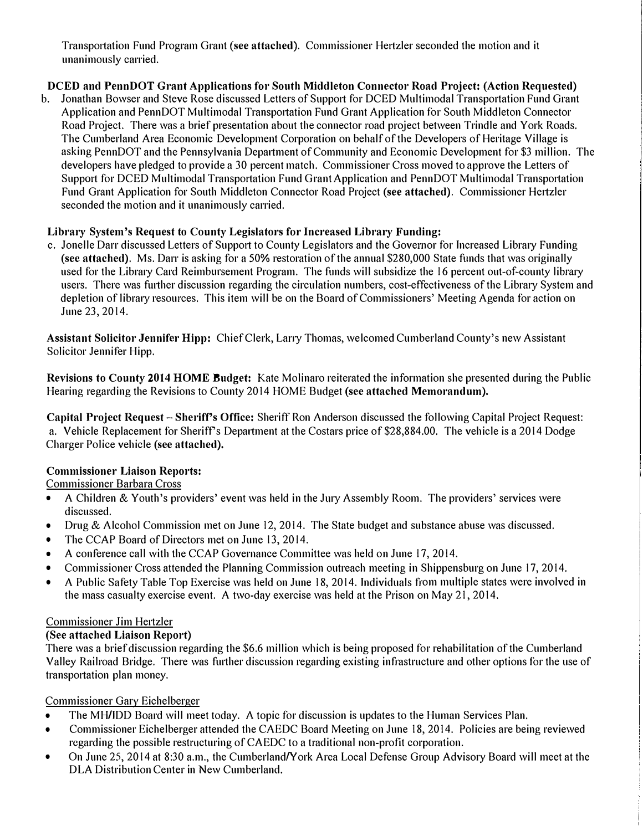**Transpo1tation Fund Program Grant (see attached). Commissioner He1tzler seconded the motion and it unanimously carried.** 

## **DCED and PennDOT Grant Applications for South Middleton Connector Road Project: (Action Requested)**

**b. Jonathan Bowser and Steve Rose discussed Letters of Support for DCED Multimodal Transportation Fund Grant** Application and PennDOT Multimodal Transportation Fund Grant Application for South Middleton Connector **Road Project. There was a brief presentation about the connector road project between Trindle and York Roads. The Cumberland Area Economic Development Corporation on behalf of the Developers of Heritage Village is**  asking PennDOT and the Pennsylvania Department of Community and Economic Development for \$3 million. The **developers have pledged to provide a 30 percent match. Commissioner Cross moved to approve the Letters of Support for DCED Multimodal Transportation Fund Grant Application and PennDOT Multimodal Transportation Fund Grant Application for South Middleton Connector Road Project (see attached). Commissioner He1tzler seconded the motion and it unanimously carried.** 

## **Library System's Request to County Legislators for Increased Library Funding:**

c. Jonelle Darr discussed Letters of Support to County Legislators and the Governor for Increased Library Funding **(sec attached). Ms. Darr is asking for a 50% restoration of the annual \$280,000 State funds that was originally**  used for the Library Card Reimbursement Program. The funds will subsidize the 16 percent out-of-county library **users. There was fmther discussion regarding the circulation numbers, cost-effectiveness of the Libra1y System and**  depletion of library resources. This item will be on the Board of Commissioners' Meeting Agenda for action on **June 23, 2014.** 

**Assistant Solicitor Jennifer Hipp: Chief Clerk, Lany Thomas, welcomed Cumberland County's new Assistant Solicitor Jennifer Hipp.** 

**Revisions to County 2014 HOME Bndget: Kate Molinaro reiterated the information she presented during the Public Hearing regarding the Revisions to County 2014 HOME Budget (see attached Memorandum).** 

**Capital Project Request - Sheriff's Office: Sheriff Ron Anderson discussed the following Capital Project Request: a. Vehicle Replacement for Sheriffs Depmtment at the Costars price of \$28,884.00. The vehicle is a 2014 Dodge Charger Police vehicle (see attached).** 

## **Commissioner Liaison Reports:**

**Commissioner Barbara Cross** 

- **A Children & Youth's providers' event was held in the Jmy Assembly Room. The providers' services were discussed.**
- **Drug & Alcohol Commission met on June 12, 2014. The State budget and substance abuse was discussed.**
- **The CCAP Board of Directors met on June 13, 2014.**
- **A conference call with the CCAP Governance Committee was held on June 17, 2014.**
- Commissioner Cross attended the Planning Commission outreach meeting in Shippensburg on June 17, 2014.
- **A Public Safety Table Top Exercise was held on June 18, 2014. Individuals f**<sup>r</sup> **om multiple states were involved in the mass casualty exercise event. A two-day exercise was held at the Prison on May 21, 2014.**

## **Commissioner Jim Hertzler**

## **(See attached Liaison Report)**

**There was a brief discussion regarding the \$6.6 million which is being proposed for rehabilitation of the Cumberland Valley Railroad Bridge. There was further discussion regarding existing inf**<sup>r</sup> **astructure and other options for the use of**  transportation plan money.

## **Commissioner Gary Eichelberger**

- **The MH/IDD Board will meet today. A topic for discussion is updates to the Human Services Plan.**
- **Commissioner Eichelberger attended the CAEDC Board Meeting on June 18, 2014. Policies are being reviewed regarding the possible restrncturing of CAEDC to a traditional non-profit corporation.**
- On June 25, 2014 at 8:30 a.m., the Cumberland/York Area Local Defense Group Advisory Board will meet at the **DLA Distribution Center in New Cumberland.**